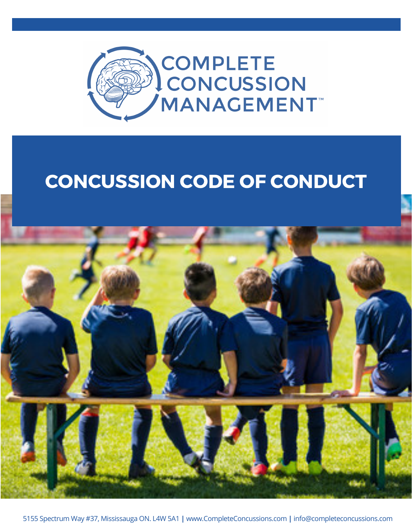

## CONCUSSION CODE OF CONDUCT



5155 Spectrum Way #37, Mississauga ON. L4W 5A1 **|** www.CompleteConcussions.com **|** info@completeconcussions.com